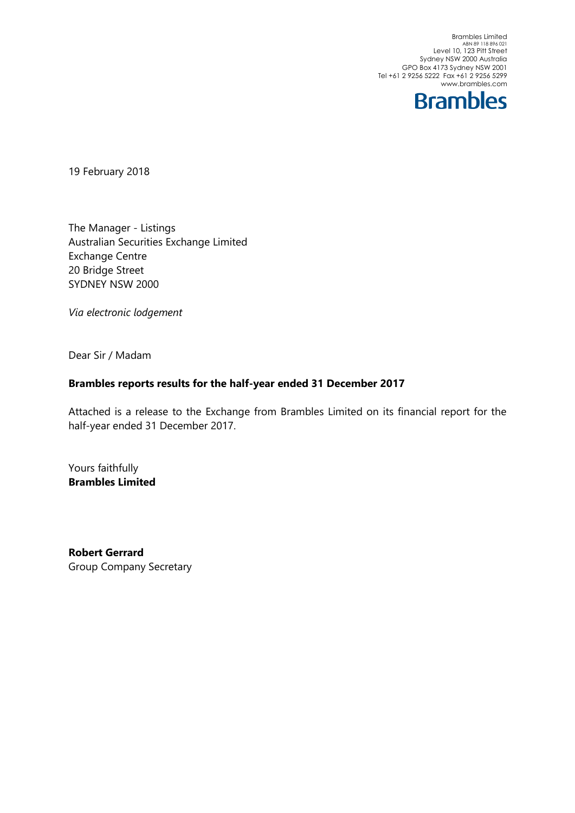Brambles Limited<br>ABN 89 118 896 021<br>Level 10, 123 Pitt Street Sydney NSW 2000 Australia GPO Box 4173 Sydney NSW 2001 Tel +61 2 9256 5222 Fax +61 2 9256 5299 www.brambles.com



19 February 2018

The Manager - Listings Australian Securities Exchange Limited Exchange Centre 20 Bridge Street SYDNEY NSW 2000

Via electronic lodgement

Dear Sir / Madam

### Brambles reports results for the half-year ended 31 December 2017

Attached is a release to the Exchange from Brambles Limited on its financial report for the half-year ended 31 December 2017.

Yours faithfully Brambles Limited

Robert Gerrard Group Company Secretary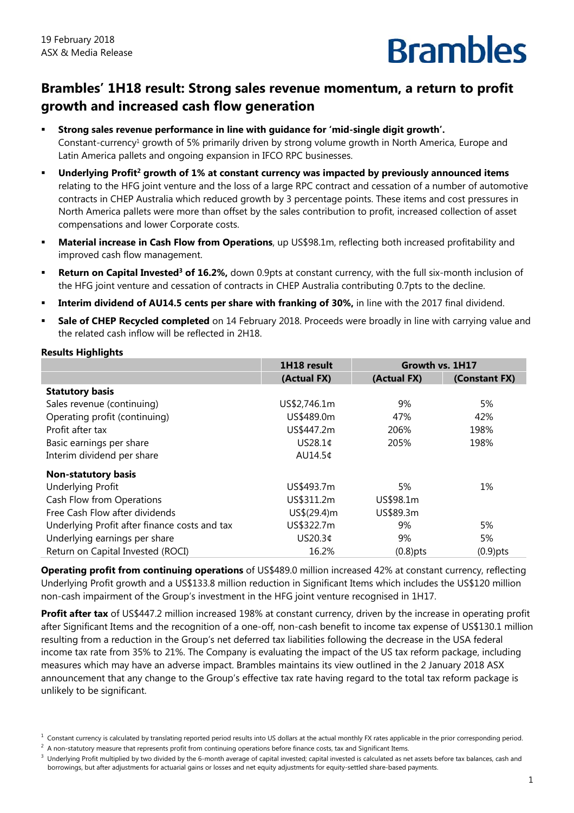## **Brambles' 1H18 result: Strong sales revenue momentum, a return to profit growth and increased cash flow generation**

- **Strong sales revenue performance in line with guidance for 'mid-single digit growth'.**  Constant-currency<sup>1</sup> growth of 5% primarily driven by strong volume growth in North America, Europe and Latin America pallets and ongoing expansion in IFCO RPC businesses.
- Underlying Profit<sup>2</sup> growth of 1% at constant currency was impacted by previously announced items relating to the HFG joint venture and the loss of a large RPC contract and cessation of a number of automotive contracts in CHEP Australia which reduced growth by 3 percentage points. These items and cost pressures in North America pallets were more than offset by the sales contribution to profit, increased collection of asset compensations and lower Corporate costs.
- **Material increase in Cash Flow from Operations**, up US\$98.1m, reflecting both increased profitability and improved cash flow management.
- **Return on Capital Invested<sup>3</sup> of 16.2%,** down 0.9pts at constant currency, with the full six-month inclusion of the HFG joint venture and cessation of contracts in CHEP Australia contributing 0.7pts to the decline.
- **Interim dividend of AU14.5 cents per share with franking of 30%,** in line with the 2017 final dividend.
- **Sale of CHEP Recycled completed** on 14 February 2018. Proceeds were broadly in line with carrying value and the related cash inflow will be reflected in 2H18.

| <b>Results Highlights</b> |  |
|---------------------------|--|
|                           |  |

|                                               | 1H18 result  | Growth vs. 1H17 |               |
|-----------------------------------------------|--------------|-----------------|---------------|
|                                               | (Actual FX)  | (Actual FX)     | (Constant FX) |
| <b>Statutory basis</b>                        |              |                 |               |
| Sales revenue (continuing)                    | US\$2,746.1m | 9%              | 5%            |
| Operating profit (continuing)                 | US\$489.0m   | 47%             | 42%           |
| Profit after tax                              | US\$447.2m   | 206%            | 198%          |
| Basic earnings per share                      | US28.1¢      | 205%            | 198%          |
| Interim dividend per share                    | AU14.5¢      |                 |               |
| <b>Non-statutory basis</b>                    |              |                 |               |
| <b>Underlying Profit</b>                      | US\$493.7m   | 5%              | 1%            |
| Cash Flow from Operations                     | US\$311.2m   | US\$98.1m       |               |
| Free Cash Flow after dividends                | US\$(29.4)m  | US\$89.3m       |               |
| Underlying Profit after finance costs and tax | US\$322.7m   | 9%              | 5%            |
| Underlying earnings per share                 | US20.3¢      | 9%              | 5%            |
| Return on Capital Invested (ROCI)             | 16.2%        | $(0.8)$ pts     | $(0.9)$ pts   |

**Operating profit from continuing operations** of US\$489.0 million increased 42% at constant currency, reflecting Underlying Profit growth and a US\$133.8 million reduction in Significant Items which includes the US\$120 million non-cash impairment of the Group's investment in the HFG joint venture recognised in 1H17.

**Profit after tax** of US\$447.2 million increased 198% at constant currency, driven by the increase in operating profit after Significant Items and the recognition of a one-off, non-cash benefit to income tax expense of US\$130.1 million resulting from a reduction in the Group's net deferred tax liabilities following the decrease in the USA federal income tax rate from 35% to 21%. The Company is evaluating the impact of the US tax reform package, including measures which may have an adverse impact. Brambles maintains its view outlined in the 2 January 2018 ASX announcement that any change to the Group's effective tax rate having regard to the total tax reform package is unlikely to be significant.

 $2$  A non-statutory measure that represents profit from continuing operations before finance costs, tax and Significant Items.

 $1$  Constant currency is calculated by translating reported period results into US dollars at the actual monthly FX rates applicable in the prior corresponding period.

 $3$  Underlying Profit multiplied by two divided by the 6-month average of capital invested; capital invested is calculated as net assets before tax balances, cash and borrowings, but after adjustments for actuarial gains or losses and net equity adjustments for equity-settled share-based payments.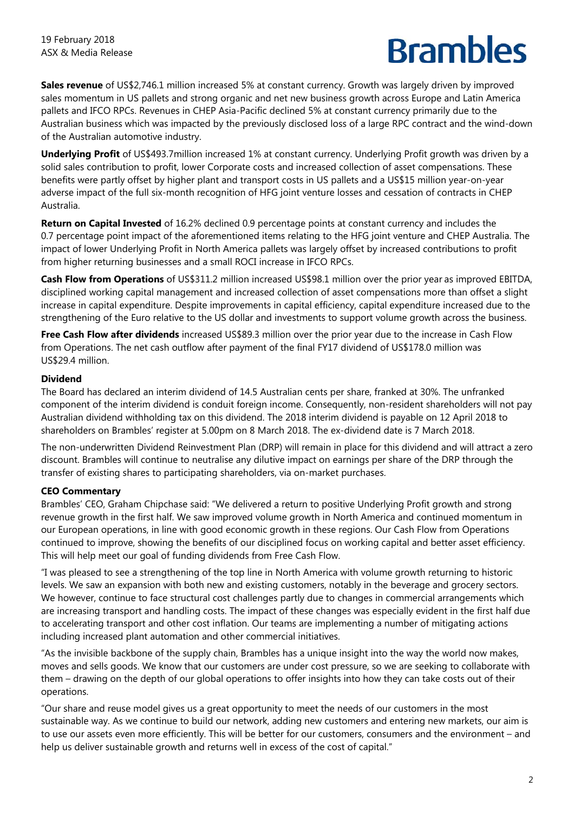**Sales revenue** of US\$2,746.1 million increased 5% at constant currency. Growth was largely driven by improved sales momentum in US pallets and strong organic and net new business growth across Europe and Latin America pallets and IFCO RPCs. Revenues in CHEP Asia-Pacific declined 5% at constant currency primarily due to the Australian business which was impacted by the previously disclosed loss of a large RPC contract and the wind-down of the Australian automotive industry.

**Underlying Profit** of US\$493.7million increased 1% at constant currency. Underlying Profit growth was driven by a solid sales contribution to profit, lower Corporate costs and increased collection of asset compensations. These benefits were partly offset by higher plant and transport costs in US pallets and a US\$15 million year-on-year adverse impact of the full six-month recognition of HFG joint venture losses and cessation of contracts in CHEP Australia.

**Return on Capital Invested** of 16.2% declined 0.9 percentage points at constant currency and includes the 0.7 percentage point impact of the aforementioned items relating to the HFG joint venture and CHEP Australia. The impact of lower Underlying Profit in North America pallets was largely offset by increased contributions to profit from higher returning businesses and a small ROCI increase in IFCO RPCs.

**Cash Flow from Operations** of US\$311.2 million increased US\$98.1 million over the prior year as improved EBITDA, disciplined working capital management and increased collection of asset compensations more than offset a slight increase in capital expenditure. Despite improvements in capital efficiency, capital expenditure increased due to the strengthening of the Euro relative to the US dollar and investments to support volume growth across the business.

**Free Cash Flow after dividends** increased US\$89.3 million over the prior year due to the increase in Cash Flow from Operations. The net cash outflow after payment of the final FY17 dividend of US\$178.0 million was US\$29.4 million.

## **Dividend**

The Board has declared an interim dividend of 14.5 Australian cents per share, franked at 30%. The unfranked component of the interim dividend is conduit foreign income. Consequently, non-resident shareholders will not pay Australian dividend withholding tax on this dividend. The 2018 interim dividend is payable on 12 April 2018 to shareholders on Brambles' register at 5.00pm on 8 March 2018. The ex-dividend date is 7 March 2018.

The non-underwritten Dividend Reinvestment Plan (DRP) will remain in place for this dividend and will attract a zero discount. Brambles will continue to neutralise any dilutive impact on earnings per share of the DRP through the transfer of existing shares to participating shareholders, via on-market purchases.

## **CEO Commentary**

Brambles' CEO, Graham Chipchase said: "We delivered a return to positive Underlying Profit growth and strong revenue growth in the first half. We saw improved volume growth in North America and continued momentum in our European operations, in line with good economic growth in these regions. Our Cash Flow from Operations continued to improve, showing the benefits of our disciplined focus on working capital and better asset efficiency. This will help meet our goal of funding dividends from Free Cash Flow.

"I was pleased to see a strengthening of the top line in North America with volume growth returning to historic levels. We saw an expansion with both new and existing customers, notably in the beverage and grocery sectors. We however, continue to face structural cost challenges partly due to changes in commercial arrangements which are increasing transport and handling costs. The impact of these changes was especially evident in the first half due to accelerating transport and other cost inflation. Our teams are implementing a number of mitigating actions including increased plant automation and other commercial initiatives.

"As the invisible backbone of the supply chain, Brambles has a unique insight into the way the world now makes, moves and sells goods. We know that our customers are under cost pressure, so we are seeking to collaborate with them – drawing on the depth of our global operations to offer insights into how they can take costs out of their operations.

"Our share and reuse model gives us a great opportunity to meet the needs of our customers in the most sustainable way. As we continue to build our network, adding new customers and entering new markets, our aim is to use our assets even more efficiently. This will be better for our customers, consumers and the environment – and help us deliver sustainable growth and returns well in excess of the cost of capital."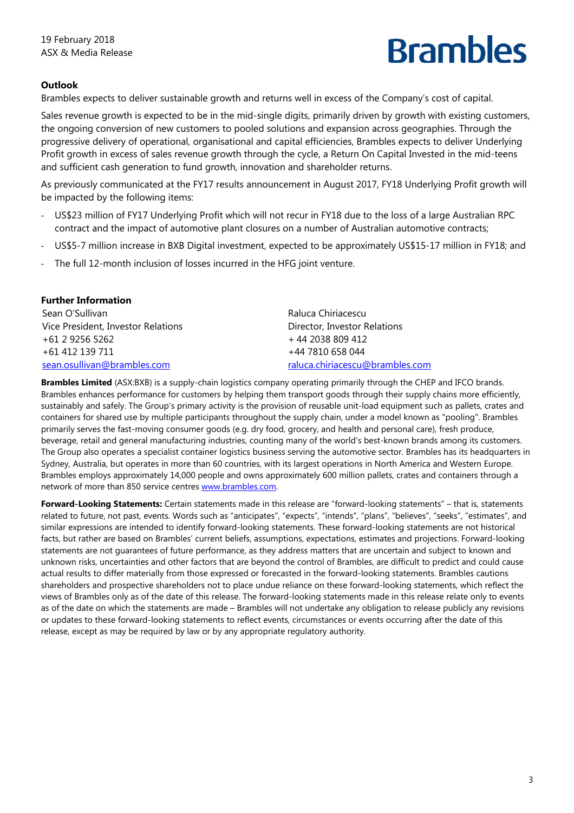## **Outlook**

Brambles expects to deliver sustainable growth and returns well in excess of the Company's cost of capital.

Sales revenue growth is expected to be in the mid-single digits, primarily driven by growth with existing customers, the ongoing conversion of new customers to pooled solutions and expansion across geographies. Through the progressive delivery of operational, organisational and capital efficiencies, Brambles expects to deliver Underlying Profit growth in excess of sales revenue growth through the cycle, a Return On Capital Invested in the mid-teens and sufficient cash generation to fund growth, innovation and shareholder returns.

As previously communicated at the FY17 results announcement in August 2017, FY18 Underlying Profit growth will be impacted by the following items:

- ‐ US\$23 million of FY17 Underlying Profit which will not recur in FY18 due to the loss of a large Australian RPC contract and the impact of automotive plant closures on a number of Australian automotive contracts;
- ‐ US\$5-7 million increase in BXB Digital investment, expected to be approximately US\$15-17 million in FY18; and
- The full 12-month inclusion of losses incurred in the HFG joint venture.

### **Further Information**

Sean O'Sullivan Vice President, Investor Relations +61 2 9256 5262 +61 412 139 711 sean.osullivan@brambles.com

Raluca Chiriacescu Director, Investor Relations + 44 2038 809 412 +44 7810 658 044 raluca.chiriacescu@brambles.com

**Brambles Limited** (ASX:BXB) is a supply-chain logistics company operating primarily through the CHEP and IFCO brands. Brambles enhances performance for customers by helping them transport goods through their supply chains more efficiently, sustainably and safely. The Group's primary activity is the provision of reusable unit-load equipment such as pallets, crates and containers for shared use by multiple participants throughout the supply chain, under a model known as "pooling". Brambles primarily serves the fast-moving consumer goods (e.g. dry food, grocery, and health and personal care), fresh produce, beverage, retail and general manufacturing industries, counting many of the world's best-known brands among its customers. The Group also operates a specialist container logistics business serving the automotive sector. Brambles has its headquarters in Sydney, Australia, but operates in more than 60 countries, with its largest operations in North America and Western Europe. Brambles employs approximately 14,000 people and owns approximately 600 million pallets, crates and containers through a network of more than 850 service centres www.brambles.com.

**Forward-Looking Statements:** Certain statements made in this release are "forward-looking statements" – that is, statements related to future, not past, events. Words such as "anticipates", "expects", "intends", "plans", "believes", "seeks", "estimates", and similar expressions are intended to identify forward-looking statements. These forward-looking statements are not historical facts, but rather are based on Brambles' current beliefs, assumptions, expectations, estimates and projections. Forward-looking statements are not guarantees of future performance, as they address matters that are uncertain and subject to known and unknown risks, uncertainties and other factors that are beyond the control of Brambles, are difficult to predict and could cause actual results to differ materially from those expressed or forecasted in the forward-looking statements. Brambles cautions shareholders and prospective shareholders not to place undue reliance on these forward-looking statements, which reflect the views of Brambles only as of the date of this release. The forward-looking statements made in this release relate only to events as of the date on which the statements are made – Brambles will not undertake any obligation to release publicly any revisions or updates to these forward-looking statements to reflect events, circumstances or events occurring after the date of this release, except as may be required by law or by any appropriate regulatory authority.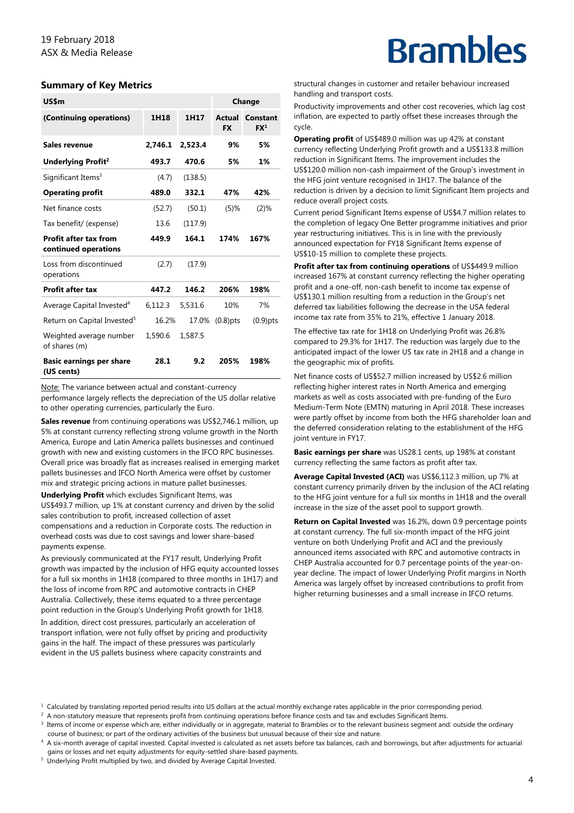### **Summary of Key Metrics**

| US\$m                                                |         |         |                     | Change                      |
|------------------------------------------------------|---------|---------|---------------------|-----------------------------|
| (Continuing operations)                              | 1H18    | 1H17    | Actual<br><b>FX</b> | Constant<br>FX <sup>1</sup> |
| <b>Sales revenue</b>                                 | 2,746.1 | 2,523.4 | 9%                  | 5%                          |
| Underlying Profit <sup>2</sup>                       | 493.7   | 470.6   | 5%                  | 1%                          |
| Significant Items <sup>3</sup>                       | (4.7)   | (138.5) |                     |                             |
| <b>Operating profit</b>                              | 489.0   | 332.1   | 47%                 | 42%                         |
| Net finance costs                                    | (52.7)  | (50.1)  | $(5)$ %             | $(2)$ %                     |
| Tax benefit/ (expense)                               | 13.6    | (117.9) |                     |                             |
| <b>Profit after tax from</b><br>continued operations | 449.9   | 164.1   | 174%                | 167%                        |
| Loss from discontinued<br>operations                 | (2.7)   | (17.9)  |                     |                             |
| <b>Profit after tax</b>                              | 447.2   | 146.2   | 206%                | 198%                        |
| Average Capital Invested <sup>4</sup>                | 6,112.3 | 5,531.6 | 10%                 | 7%                          |
| Return on Capital Invested <sup>5</sup>              | 16.2%   | 17.0%   | $(0.8)$ pts         | $(0.9)$ pts                 |
| Weighted average number<br>of shares (m)             | 1,590.6 | 1,587.5 |                     |                             |
| <b>Basic earnings per share</b><br>(US cents)        | 28.1    | 9.2     | 205%                | 198%                        |

Note: The variance between actual and constant-currency

performance largely reflects the depreciation of the US dollar relative to other operating currencies, particularly the Euro.

**Sales revenue** from continuing operations was US\$2,746.1 million, up 5% at constant currency reflecting strong volume growth in the North America, Europe and Latin America pallets businesses and continued growth with new and existing customers in the IFCO RPC businesses. Overall price was broadly flat as increases realised in emerging market pallets businesses and IFCO North America were offset by customer mix and strategic pricing actions in mature pallet businesses.

**Underlying Profit** which excludes Significant Items, was US\$493.7 million, up 1% at constant currency and driven by the solid sales contribution to profit, increased collection of asset compensations and a reduction in Corporate costs. The reduction in overhead costs was due to cost savings and lower share-based payments expense.

As previously communicated at the FY17 result, Underlying Profit growth was impacted by the inclusion of HFG equity accounted losses for a full six months in 1H18 (compared to three months in 1H17) and the loss of income from RPC and automotive contracts in CHEP Australia. Collectively, these items equated to a three percentage point reduction in the Group's Underlying Profit growth for 1H18. In addition, direct cost pressures, particularly an acceleration of transport inflation, were not fully offset by pricing and productivity gains in the half. The impact of these pressures was particularly evident in the US pallets business where capacity constraints and

## **Brambles**

structural changes in customer and retailer behaviour increased handling and transport costs.

Productivity improvements and other cost recoveries, which lag cost inflation, are expected to partly offset these increases through the cycle.

**Operating profit** of US\$489.0 million was up 42% at constant currency reflecting Underlying Profit growth and a US\$133.8 million reduction in Significant Items. The improvement includes the US\$120.0 million non-cash impairment of the Group's investment in the HFG joint venture recognised in 1H17. The balance of the reduction is driven by a decision to limit Significant Item projects and reduce overall project costs.

Current period Significant Items expense of US\$4.7 million relates to the completion of legacy One Better programme initiatives and prior year restructuring initiatives. This is in line with the previously announced expectation for FY18 Significant Items expense of US\$10-15 million to complete these projects.

**Profit after tax from continuing operations** of US\$449.9 million increased 167% at constant currency reflecting the higher operating profit and a one-off, non-cash benefit to income tax expense of US\$130.1 million resulting from a reduction in the Group's net deferred tax liabilities following the decrease in the USA federal income tax rate from 35% to 21%, effective 1 January 2018.

The effective tax rate for 1H18 on Underlying Profit was 26.8% compared to 29.3% for 1H17. The reduction was largely due to the anticipated impact of the lower US tax rate in 2H18 and a change in the geographic mix of profits.

Net finance costs of US\$52.7 million increased by US\$2.6 million reflecting higher interest rates in North America and emerging markets as well as costs associated with pre-funding of the Euro Medium-Term Note (EMTN) maturing in April 2018. These increases were partly offset by income from both the HFG shareholder loan and the deferred consideration relating to the establishment of the HFG joint venture in FY17.

**Basic earnings per share** was US28.1 cents, up 198% at constant currency reflecting the same factors as profit after tax.

**Average Capital Invested (ACI)** was US\$6,112.3 million, up 7% at constant currency primarily driven by the inclusion of the ACI relating to the HFG joint venture for a full six months in 1H18 and the overall increase in the size of the asset pool to support growth.

**Return on Capital Invested** was 16.2%, down 0.9 percentage points at constant currency. The full six-month impact of the HFG joint venture on both Underlying Profit and ACI and the previously announced items associated with RPC and automotive contracts in CHEP Australia accounted for 0.7 percentage points of the year-onyear decline. The impact of lower Underlying Profit margins in North America was largely offset by increased contributions to profit from higher returning businesses and a small increase in IFCO returns.

<sup>&</sup>lt;sup>1</sup> Calculated by translating reported period results into US dollars at the actual monthly exchange rates applicable in the prior corresponding period.<br><sup>2</sup> A non-statutory measure that represents profit from continuing o

<sup>&</sup>lt;sup>2</sup> A non-statutory measure that represents profit from continuing operations before finance costs and tax and excludes Significant Items.<br><sup>3</sup> Items of income or expense which are, either individually or in aggregate, mate course of business; or part of the ordinary activities of the business but unusual because of their size and nature. 4

<sup>4</sup> A six-month average of capital invested. Capital invested is calculated as net assets before tax balances, cash and borrowings, but after adjustments for actuarial gains or losses and net equity adjustments for equity-settled share-based payments.

<sup>&</sup>lt;sup>5</sup> Underlying Profit multiplied by two, and divided by Average Capital Invested.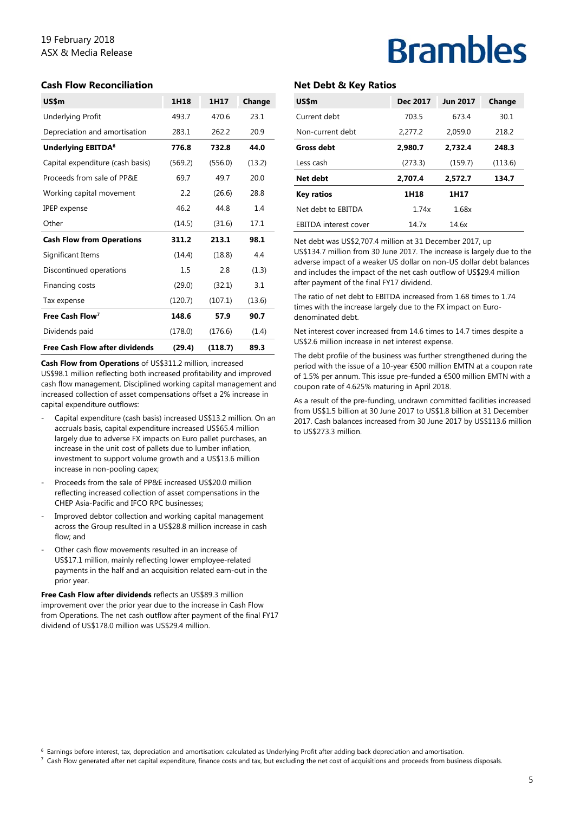## 19 February 2018 ASX & Media Release

#### **Cash Flow Reconciliation**

| US\$m                                 | 1H18    | 1H17    | Change |
|---------------------------------------|---------|---------|--------|
| <b>Underlying Profit</b>              | 493.7   | 470.6   | 23.1   |
| Depreciation and amortisation         | 283.1   | 262.2   | 20.9   |
| Underlying EBITDA <sup>6</sup>        | 776.8   | 732.8   | 44.0   |
| Capital expenditure (cash basis)      | (569.2) | (556.0) | (13.2) |
| Proceeds from sale of PP&F            | 69.7    | 49.7    | 20.0   |
| Working capital movement              | 2.2     | (26.6)  | 28.8   |
| <b>IPEP</b> expense                   | 46.2    | 44.8    | 1.4    |
| Other                                 | (14.5)  | (31.6)  | 17.1   |
| <b>Cash Flow from Operations</b>      | 311.2   | 213.1   | 98.1   |
| Significant Items                     | (14.4)  | (18.8)  | 4.4    |
| Discontinued operations               | $1.5\,$ | 2.8     | (1.3)  |
| Financing costs                       | (29.0)  | (32.1)  | 3.1    |
| Tax expense                           | (120.7) | (107.1) | (13.6) |
| Free Cash Flow <sup>7</sup>           | 148.6   | 57.9    | 90.7   |
| Dividends paid                        | (178.0) | (176.6) | (1.4)  |
| <b>Free Cash Flow after dividends</b> | (29.4)  | (118.7) | 89.3   |

**Cash Flow from Operations** of US\$311.2 million, increased US\$98.1 million reflecting both increased profitability and improved cash flow management. Disciplined working capital management and increased collection of asset compensations offset a 2% increase in capital expenditure outflows:

- Capital expenditure (cash basis) increased US\$13.2 million. On an accruals basis, capital expenditure increased US\$65.4 million largely due to adverse FX impacts on Euro pallet purchases, an increase in the unit cost of pallets due to lumber inflation, investment to support volume growth and a US\$13.6 million increase in non-pooling capex;
- Proceeds from the sale of PP&E increased US\$20.0 million reflecting increased collection of asset compensations in the CHEP Asia-Pacific and IFCO RPC businesses;
- Improved debtor collection and working capital management across the Group resulted in a US\$28.8 million increase in cash flow; and
- Other cash flow movements resulted in an increase of US\$17.1 million, mainly reflecting lower employee-related payments in the half and an acquisition related earn-out in the prior year.

**Free Cash Flow after dividends** reflects an US\$89.3 million improvement over the prior year due to the increase in Cash Flow from Operations. The net cash outflow after payment of the final FY17 dividend of US\$178.0 million was US\$29.4 million.

## **Brambles**

### **Net Debt & Key Ratios**

| US\$m                        | Dec 2017 | <b>Jun 2017</b> | Change  |
|------------------------------|----------|-----------------|---------|
| Current debt                 | 703.5    | 673.4           | 30.1    |
| Non-current debt             | 2,277.2  | 2,059.0         | 218.2   |
| <b>Gross debt</b>            | 2.980.7  | 2,732.4         | 248.3   |
| Less cash                    | (273.3)  | (159.7)         | (113.6) |
| Net debt                     | 2.707.4  | 2.572.7         | 134.7   |
| <b>Key ratios</b>            | 1H18     | 1H17            |         |
| Net debt to FBITDA           | 1.74x    | 1.68x           |         |
| <b>EBITDA</b> interest cover | 14 7x    | 14.6x           |         |

Net debt was US\$2,707.4 million at 31 December 2017, up US\$134.7 million from 30 June 2017. The increase is largely due to the adverse impact of a weaker US dollar on non-US dollar debt balances and includes the impact of the net cash outflow of US\$29.4 million after payment of the final FY17 dividend.

The ratio of net debt to EBITDA increased from 1.68 times to 1.74 times with the increase largely due to the FX impact on Eurodenominated debt.

Net interest cover increased from 14.6 times to 14.7 times despite a US\$2.6 million increase in net interest expense.

The debt profile of the business was further strengthened during the period with the issue of a 10-year €500 million EMTN at a coupon rate of 1.5% per annum. This issue pre-funded a €500 million EMTN with a coupon rate of 4.625% maturing in April 2018.

As a result of the pre-funding, undrawn committed facilities increased from US\$1.5 billion at 30 June 2017 to US\$1.8 billion at 31 December 2017. Cash balances increased from 30 June 2017 by US\$113.6 million to US\$273.3 million.

 $^6$  Earnings before interest, tax, depreciation and amortisation: calculated as Underlying Profit after adding back depreciation and amortisation.<br>7. Cash Flow generated after net capital expenditure, finance costs and t

 $\frac{7}{1}$  Cash Flow generated after net capital expenditure, finance costs and tax, but excluding the net cost of acquisitions and proceeds from business disposals.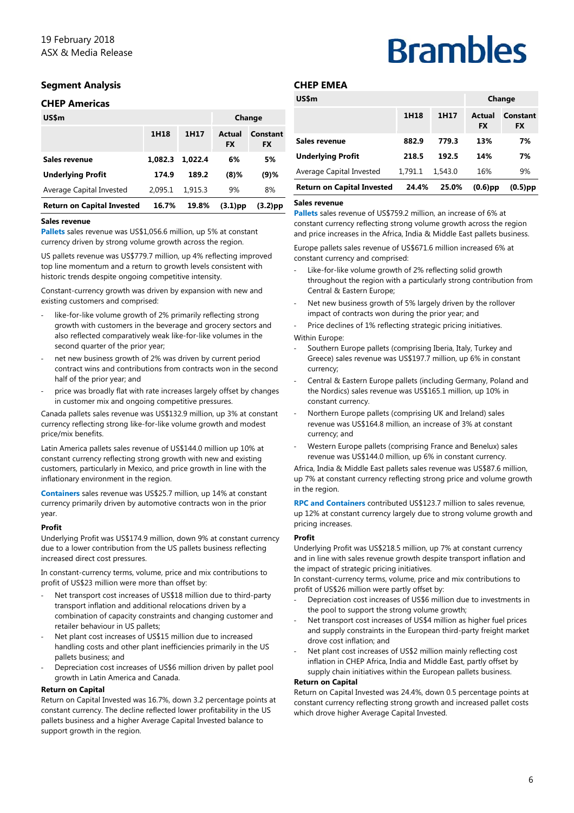### **Segment Analysis**

#### **CHEP Americas**

| US\$m                             |         |         |                     | Change                |
|-----------------------------------|---------|---------|---------------------|-----------------------|
|                                   | 1H18    | 1H17    | Actual<br><b>FX</b> | Constant<br><b>FX</b> |
| Sales revenue                     | 1.082.3 | 1.022.4 | 6%                  | 5%                    |
| <b>Underlying Profit</b>          | 174.9   | 189.2   | $(8)$ %             | (9)%                  |
| Average Capital Invested          | 2.095.1 | 1.915.3 | 9%                  | 8%                    |
| <b>Return on Capital Invested</b> | 16.7%   | 19.8%   | $(3.1)$ pp          | (3.2)pp               |

#### **Sales revenue**

**Pallets** sales revenue was US\$1,056.6 million, up 5% at constant currency driven by strong volume growth across the region.

US pallets revenue was US\$779.7 million, up 4% reflecting improved top line momentum and a return to growth levels consistent with historic trends despite ongoing competitive intensity.

Constant-currency growth was driven by expansion with new and existing customers and comprised:

- like-for-like volume growth of 2% primarily reflecting strong growth with customers in the beverage and grocery sectors and also reflected comparatively weak like-for-like volumes in the second quarter of the prior year;
- net new business growth of 2% was driven by current period contract wins and contributions from contracts won in the second half of the prior year; and
- price was broadly flat with rate increases largely offset by changes in customer mix and ongoing competitive pressures.

Canada pallets sales revenue was US\$132.9 million, up 3% at constant currency reflecting strong like-for-like volume growth and modest price/mix benefits.

Latin America pallets sales revenue of US\$144.0 million up 10% at constant currency reflecting strong growth with new and existing customers, particularly in Mexico, and price growth in line with the inflationary environment in the region.

**Containers** sales revenue was US\$25.7 million, up 14% at constant currency primarily driven by automotive contracts won in the prior year.

#### **Profit**

Underlying Profit was US\$174.9 million, down 9% at constant currency due to a lower contribution from the US pallets business reflecting increased direct cost pressures.

In constant-currency terms, volume, price and mix contributions to profit of US\$23 million were more than offset by:

- Net transport cost increases of US\$18 million due to third-party transport inflation and additional relocations driven by a combination of capacity constraints and changing customer and retailer behaviour in US pallets;
- Net plant cost increases of US\$15 million due to increased handling costs and other plant inefficiencies primarily in the US pallets business; and
- ‐ Depreciation cost increases of US\$6 million driven by pallet pool growth in Latin America and Canada.

#### **Return on Capital**

Return on Capital Invested was 16.7%, down 3.2 percentage points at constant currency. The decline reflected lower profitability in the US pallets business and a higher Average Capital Invested balance to support growth in the region.

#### **CHEP EMEA**

| US\$m                             |         |         |                     | Change                |
|-----------------------------------|---------|---------|---------------------|-----------------------|
|                                   | 1H18    | 1H17    | Actual<br><b>FX</b> | Constant<br><b>FX</b> |
| Sales revenue                     | 882.9   | 779.3   | 13%                 | 7%                    |
| <b>Underlying Profit</b>          | 218.5   | 192.5   | 14%                 | 7%                    |
| Average Capital Invested          | 1.791.1 | 1,543.0 | 16%                 | 9%                    |
| <b>Return on Capital Invested</b> | 24.4%   | 25.0%   | $(0.6)$ pp          | $(0.5)$ pp            |

**Brambles** 

#### **Sales revenue**

**Pallets** sales revenue of US\$759.2 million, an increase of 6% at constant currency reflecting strong volume growth across the region and price increases in the Africa, India & Middle East pallets business.

Europe pallets sales revenue of US\$671.6 million increased 6% at constant currency and comprised:

- Like-for-like volume growth of 2% reflecting solid growth throughout the region with a particularly strong contribution from Central & Eastern Europe;
- Net new business growth of 5% largely driven by the rollover impact of contracts won during the prior year; and
- ‐ Price declines of 1% reflecting strategic pricing initiatives.

Within Europe:

- Southern Europe pallets (comprising Iberia, Italy, Turkey and Greece) sales revenue was US\$197.7 million, up 6% in constant currency;
- ‐ Central & Eastern Europe pallets (including Germany, Poland and the Nordics) sales revenue was US\$165.1 million, up 10% in constant currency.
- ‐ Northern Europe pallets (comprising UK and Ireland) sales revenue was US\$164.8 million, an increase of 3% at constant currency; and
- ‐ Western Europe pallets (comprising France and Benelux) sales revenue was US\$144.0 million, up 6% in constant currency.

Africa, India & Middle East pallets sales revenue was US\$87.6 million, up 7% at constant currency reflecting strong price and volume growth in the region.

**RPC and Containers** contributed US\$123.7 million to sales revenue, up 12% at constant currency largely due to strong volume growth and pricing increases.

#### **Profit**

Underlying Profit was US\$218.5 million, up 7% at constant currency and in line with sales revenue growth despite transport inflation and the impact of strategic pricing initiatives.

In constant-currency terms, volume, price and mix contributions to profit of US\$26 million were partly offset by:

- ‐ Depreciation cost increases of US\$6 million due to investments in the pool to support the strong volume growth;
- Net transport cost increases of US\$4 million as higher fuel prices and supply constraints in the European third-party freight market drove cost inflation; and
- Net plant cost increases of US\$2 million mainly reflecting cost inflation in CHEP Africa, India and Middle East, partly offset by supply chain initiatives within the European pallets business.

#### **Return on Capital**

Return on Capital Invested was 24.4%, down 0.5 percentage points at constant currency reflecting strong growth and increased pallet costs which drove higher Average Capital Invested.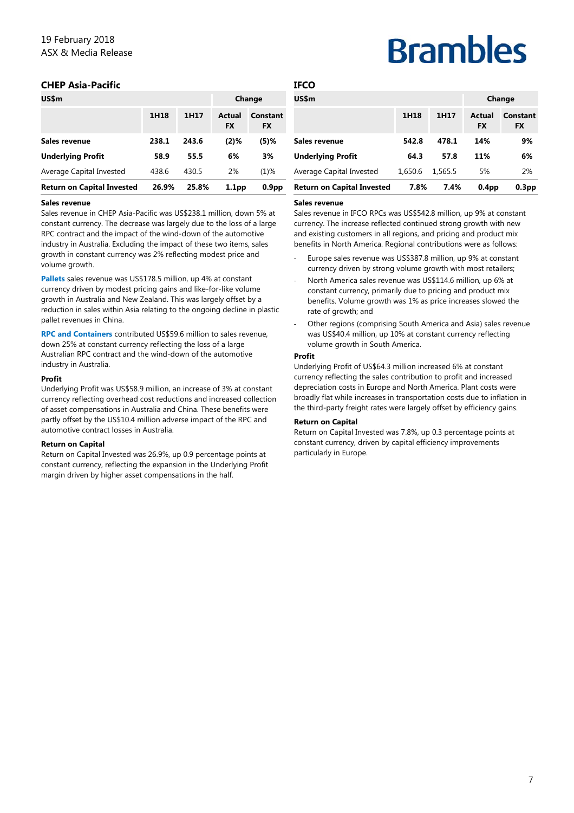### **CHEP Asia-Pacific**

| US\$m                             |       |       |                     | Change                |
|-----------------------------------|-------|-------|---------------------|-----------------------|
|                                   | 1H18  | 1H17  | Actual<br><b>FX</b> | Constant<br><b>FX</b> |
| Sales revenue                     | 238.1 | 243.6 | (2)%                | $(5)$ %               |
| <b>Underlying Profit</b>          | 58.9  | 55.5  | 6%                  | 3%                    |
| Average Capital Invested          | 438.6 | 430.5 | 2%                  | $(1)\%$               |
| <b>Return on Capital Invested</b> | 26.9% | 25.8% | 1.1 <sub>pp</sub>   | 0.9 <sub>pp</sub>     |

#### **Sales revenue**

Sales revenue in CHEP Asia-Pacific was US\$238.1 million, down 5% at constant currency. The decrease was largely due to the loss of a large RPC contract and the impact of the wind-down of the automotive industry in Australia. Excluding the impact of these two items, sales growth in constant currency was 2% reflecting modest price and volume growth.

**Pallets** sales revenue was US\$178.5 million, up 4% at constant currency driven by modest pricing gains and like-for-like volume growth in Australia and New Zealand. This was largely offset by a reduction in sales within Asia relating to the ongoing decline in plastic pallet revenues in China.

**RPC and Containers** contributed US\$59.6 million to sales revenue, down 25% at constant currency reflecting the loss of a large Australian RPC contract and the wind-down of the automotive industry in Australia.

#### **Profit**

Underlying Profit was US\$58.9 million, an increase of 3% at constant currency reflecting overhead cost reductions and increased collection of asset compensations in Australia and China. These benefits were partly offset by the US\$10.4 million adverse impact of the RPC and automotive contract losses in Australia.

#### **Return on Capital**

Return on Capital Invested was 26.9%, up 0.9 percentage points at constant currency, reflecting the expansion in the Underlying Profit margin driven by higher asset compensations in the half.

# **Brambles**

| <b>Return on Capital Invested</b> | 7.8%    | 7.4%    | 0.4 <sub>pp</sub>   | 0.3 <sub>pp</sub>     |
|-----------------------------------|---------|---------|---------------------|-----------------------|
| Average Capital Invested          | 1.650.6 | 1,565.5 | 5%                  | 2%                    |
| <b>Underlying Profit</b>          | 64.3    | 57.8    | 11%                 | 6%                    |
| Sales revenue                     | 542.8   | 478.1   | 14%                 | 9%                    |
|                                   | 1H18    | 1H17    | Actual<br><b>FX</b> | Constant<br><b>FX</b> |
| US\$m                             |         |         |                     | Change                |
| <b>IFCO</b>                       |         |         |                     |                       |

#### **Sales revenue**

Sales revenue in IFCO RPCs was US\$542.8 million, up 9% at constant currency. The increase reflected continued strong growth with new and existing customers in all regions, and pricing and product mix benefits in North America. Regional contributions were as follows:

- ‐ Europe sales revenue was US\$387.8 million, up 9% at constant currency driven by strong volume growth with most retailers;
- ‐ North America sales revenue was US\$114.6 million, up 6% at constant currency, primarily due to pricing and product mix benefits. Volume growth was 1% as price increases slowed the rate of growth; and
- Other regions (comprising South America and Asia) sales revenue was US\$40.4 million, up 10% at constant currency reflecting volume growth in South America.

#### **Profit**

Underlying Profit of US\$64.3 million increased 6% at constant currency reflecting the sales contribution to profit and increased depreciation costs in Europe and North America. Plant costs were broadly flat while increases in transportation costs due to inflation in the third-party freight rates were largely offset by efficiency gains.

#### **Return on Capital**

Return on Capital Invested was 7.8%, up 0.3 percentage points at constant currency, driven by capital efficiency improvements particularly in Europe.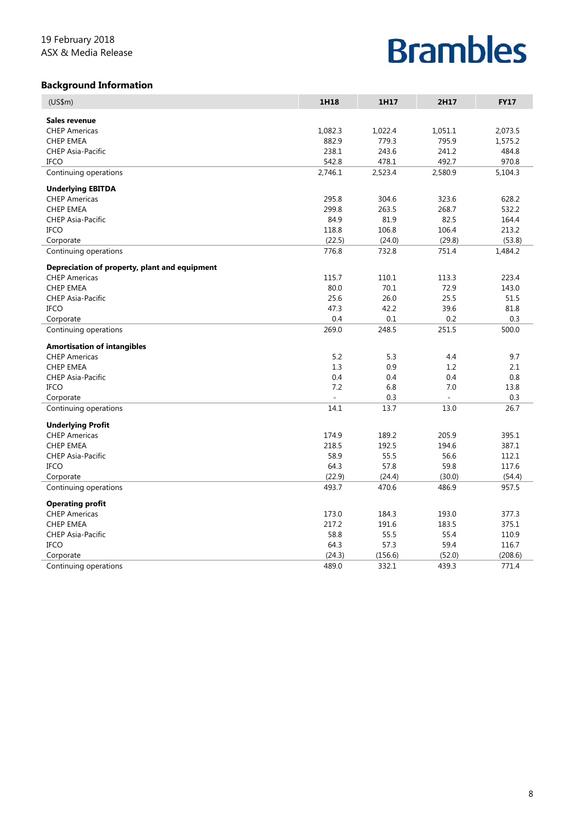### **Background Information**

| (US\$m)                                       | 1H18    | 1H17    | 2H17    | <b>FY17</b> |
|-----------------------------------------------|---------|---------|---------|-------------|
| Sales revenue                                 |         |         |         |             |
| <b>CHEP Americas</b>                          | 1,082.3 | 1,022.4 | 1,051.1 | 2,073.5     |
| <b>CHEP EMEA</b>                              | 882.9   | 779.3   | 795.9   | 1,575.2     |
| <b>CHEP Asia-Pacific</b>                      | 238.1   | 243.6   | 241.2   | 484.8       |
| <b>IFCO</b>                                   | 542.8   | 478.1   | 492.7   | 970.8       |
| Continuing operations                         | 2,746.1 | 2,523.4 | 2,580.9 | 5,104.3     |
| <b>Underlying EBITDA</b>                      |         |         |         |             |
| <b>CHEP Americas</b>                          | 295.8   | 304.6   | 323.6   | 628.2       |
| <b>CHEP EMEA</b>                              | 299.8   | 263.5   | 268.7   | 532.2       |
| <b>CHEP Asia-Pacific</b>                      | 84.9    | 81.9    | 82.5    | 164.4       |
| <b>IFCO</b>                                   | 118.8   | 106.8   | 106.4   | 213.2       |
| Corporate                                     | (22.5)  | (24.0)  | (29.8)  | (53.8)      |
| Continuing operations                         | 776.8   | 732.8   | 751.4   | 1,484.2     |
| Depreciation of property, plant and equipment |         |         |         |             |
| <b>CHEP Americas</b>                          | 115.7   | 110.1   | 113.3   | 223.4       |
| <b>CHEP EMEA</b>                              | 80.0    | 70.1    | 72.9    | 143.0       |
| <b>CHEP Asia-Pacific</b>                      | 25.6    | 26.0    | 25.5    | 51.5        |
| <b>IFCO</b>                                   | 47.3    | 42.2    | 39.6    | 81.8        |
| Corporate                                     | 0.4     | 0.1     | 0.2     | 0.3         |
| Continuing operations                         | 269.0   | 248.5   | 251.5   | 500.0       |
| <b>Amortisation of intangibles</b>            |         |         |         |             |
| <b>CHEP Americas</b>                          | 5.2     | 5.3     | 4.4     | 9.7         |
| <b>CHEP EMEA</b>                              | 1.3     | 0.9     | 1.2     | 2.1         |
| <b>CHEP Asia-Pacific</b>                      | 0.4     | 0.4     | 0.4     | 0.8         |
| <b>IFCO</b>                                   | 7.2     | 6.8     | 7.0     | 13.8        |
| Corporate                                     |         | 0.3     |         | 0.3         |
| Continuing operations                         | 14.1    | 13.7    | 13.0    | 26.7        |
| <b>Underlying Profit</b>                      |         |         |         |             |
| <b>CHEP Americas</b>                          | 174.9   | 189.2   | 205.9   | 395.1       |
| <b>CHEP EMEA</b>                              | 218.5   | 192.5   | 194.6   | 387.1       |
| CHEP Asia-Pacific                             | 58.9    | 55.5    | 56.6    | 112.1       |
| IFCO                                          | 64.3    | 57.8    | 59.8    | 117.6       |
| Corporate                                     | (22.9)  | (24.4)  | (30.0)  | (54.4)      |
| Continuing operations                         | 493.7   | 470.6   | 486.9   | 957.5       |
| <b>Operating profit</b>                       |         |         |         |             |
| <b>CHEP Americas</b>                          | 173.0   | 184.3   | 193.0   | 377.3       |
| <b>CHEP EMEA</b>                              | 217.2   | 191.6   | 183.5   | 375.1       |
| <b>CHEP Asia-Pacific</b>                      | 58.8    | 55.5    | 55.4    | 110.9       |
| <b>IFCO</b>                                   | 64.3    | 57.3    | 59.4    | 116.7       |
| Corporate                                     | (24.3)  | (156.6) | (52.0)  | (208.6)     |
| Continuing operations                         | 489.0   | 332.1   | 439.3   | 771.4       |